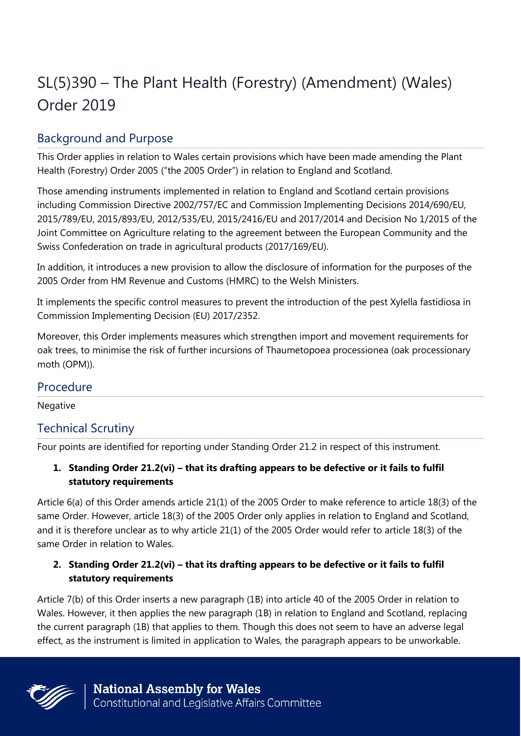# SL(5)390 – The Plant Health (Forestry) (Amendment) (Wales) Order 2019

# Background and Purpose

This Order applies in relation to Wales certain provisions which have been made amending the Plant Health (Forestry) Order 2005 ("the 2005 Order") in relation to England and Scotland.

Those amending instruments implemented in relation to England and Scotland certain provisions including Commission Directive 2002/757/EC and Commission Implementing Decisions 2014/690/EU, 2015/789/EU, 2015/893/EU, 2012/535/EU, 2015/2416/EU and 2017/2014 and Decision No 1/2015 of the Joint Committee on Agriculture relating to the agreement between the European Community and the Swiss Confederation on trade in agricultural products (2017/169/EU).

In addition, it introduces a new provision to allow the disclosure of information for the purposes of the 2005 Order from HM Revenue and Customs (HMRC) to the Welsh Ministers.

It implements the specific control measures to prevent the introduction of the pest Xylella fastidiosa in Commission Implementing Decision (EU) 2017/2352.

Moreover, this Order implements measures which strengthen import and movement requirements for oak trees, to minimise the risk of further incursions of Thaumetopoea processionea (oak processionary moth (OPM)).

## Procedure

Negative

## Technical Scrutiny

Four points are identified for reporting under Standing Order 21.2 in respect of this instrument.

#### **1. Standing Order 21.2(vi) – that its drafting appears to be defective or it fails to fulfil statutory requirements**

Article 6(a) of this Order amends article 21(1) of the 2005 Order to make reference to article 18(3) of the same Order. However, article 18(3) of the 2005 Order only applies in relation to England and Scotland, and it is therefore unclear as to why article 21(1) of the 2005 Order would refer to article 18(3) of the same Order in relation to Wales.

#### 2. Standing Order 21.2(vi) – that its drafting appears to be defective or it fails to fulfil **statutory requirements**

Article 7(b) of this Order inserts a new paragraph (1B) into article 40 of the 2005 Order in relation to Wales. However, it then applies the new paragraph (1B) in relation to England and Scotland, replacing the current paragraph (1B) that applies to them. Though this does not seem to have an adverse legal effect, as the instrument is limited in application to Wales, the paragraph appears to be unworkable.